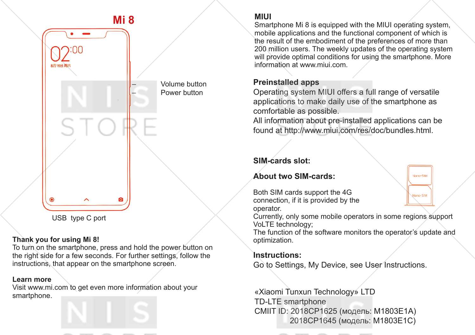

#### **Thank you for using Mi 8!**

To turn on the smartphone, press and hold the power button on the right side for a few seconds. For further settings, follow the instructions, that appear on the smartphone screen.

#### **Learn more**

Visit www.mi.com to get even more information about your smartphone.



#### **MIUI**

Smartphone Mi 8 is equipped with the MIUI operating system, mobile applications and the functional component of which is the result of the embodiment of the preferences of more than 200 million users. The weekly updates of the operating system will provide optimal conditions for using the smartphone. More information at www.miui.com.

#### **Preinstalled apps**

Operating system MIUI offers a full range of versatile applications to make daily use of the smartphone as comfortable as possible.

All information about pre-installed applications can be found at http://www.miui.com/res/doc/bundles.html.

### **SIM-cards slot:**

#### **About two SIM-cards:**

Both SIM cards support the 4G connection, if it is provided by the operator.

Currently, only some mobile operators in some regions support VoLTE technology;

Nano-SIM

Nano-SIM

The function of the software monitors the operator's update and optimization.

#### **Instructions:**

Go to Settings, My Device, see User Instructions.

«Xiaomi Tunxun Technology» LTD TD-LTE smartphone CMIIT ID: 2018CP1625 (модель: М1803Е1А) 2018CP1645 (модель: М1803Е1С)

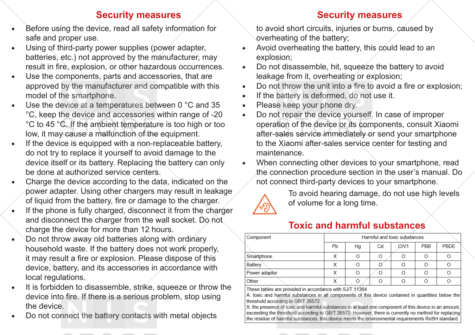- Before using the device, read all safety information for safe and proper use.
- Using of third-party power supplies (power adapter, batteries, etc.) not approved by the manufacturer, may result in fire, explosion, or other hazardous occurrences.
- Use the components, parts and accessories, that are approved by the manufacturer and compatible with this model of the smartphone.
- Use the device at a temperatures between 0 °C and 35 °C, keep the device and accessories within range of -20 °C to 45 °C. If the ambient temperature is too high or too low, it may cause a malfunction of the equipment.
- If the device is equipped with a non-replaceable battery, do not try to replace it yourself to avoid damage to the device itself or its battery. Replacing the battery can only be done at authorized service centers.
- Charge the device according to the data, indicated on the power adapter. Using other chargers may result in leakage of liquid from the battery, fire or damage to the charger.
- If the phone is fully charged, disconnect it from the charger and disconnect the charger from the wall socket. Do not charge the device for more than 12 hours.
- Do not throw away old batteries along with ordinary household waste. If the battery does not work properly, it may result a fire or explosion. Please dispose of this device, battery, and its accessories in accordance with local regulations.
- It is forbidden to disassemble, strike, squeeze or throw the device into fire. If there is a serious problem, stop using the device.
- Do not connect the battery contacts with metal objects

## **Security measures Security measures**

to avoid short circuits, injuries or burns, caused by overheating of the battery;

- Avoid overheating the battery, this could lead to an explosion;
- Do not disassemble, hit, squeeze the battery to avoid leakage from it, overheating or explosion;
- Do not throw the unit into a fire to avoid a fire or explosion;
- If the battery is deformed, do not use it.
- Please keep your phone dry.
- Do not repair the device yourself. In case of improper operation of the device or its components, consult Xiaomi after-sales service immediately or send your smartphone to the Xiaomi after-sales service center for testing and maintenance.
- When connecting other devices to your smartphone, read the connection procedure section in the user's manual. Do not connect third-party devices to your smartphone.



To avoid hearing damage, do not use high levels of volume for a long time.

# **Toxic and harmful substances**

| Harmful and toxic substances |    |                |      |     |      |
|------------------------------|----|----------------|------|-----|------|
| Pb                           | Hg | C <sub>d</sub> | CrV1 | PBB | PBDE |
|                              |    |                |      |     |      |
|                              |    |                |      |     |      |
|                              |    |                |      |     |      |
| $\check{ }$                  | Ω  |                |      |     |      |
|                              |    |                |      |     |      |

These tables are provided in accordance with SJ/T 11364.

A: toxic and harmful substances in all components of this device contained in quantities below the threshold according to GB/T 26572.

X: the presence of toxic and harmful substances in at least one component of this device in an amount exceeding the threshold according to GB/T 26572. However, there is currently no method for replacing the residue of harmful substances, this device meets the environmental requirements RoSH standard.